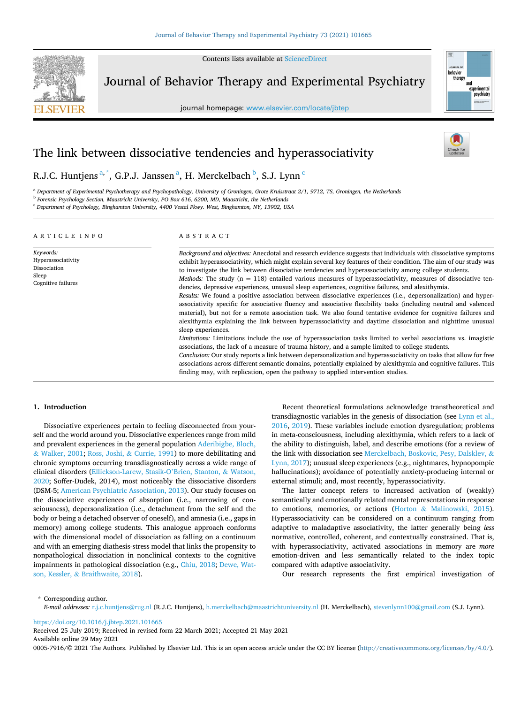Contents lists available at [ScienceDirect](www.sciencedirect.com/science/journal/00057916)



Journal of Behavior Therapy and Experimental Psychiatry

journal homepage: [www.elsevier.com/locate/jbtep](https://www.elsevier.com/locate/jbtep) 



# The link between dissociative tendencies and hyperassociativity

# R.J.C. Huntjens <sup>a, \*</sup>, G.P.J. Janssen <sup>a</sup>, H. Merckelbach <sup>b</sup>, S.J. Lynn <sup>c</sup>

<sup>a</sup> *Department of Experimental Psychotherapy and Psychopathology, University of Groningen, Grote Kruisstraat 2/1, 9712, TS, Groningen, the Netherlands* <sup>b</sup> *Forensic Psychology Section, Maastricht University, PO Box 616, 6200, MD, Maastricht, the Netherlands* 

<sup>c</sup> *Department of Psychology, Binghamton University, 4400 Vestal Pkwy. West, Binghamton, NY, 13902, USA* 

| ARTICLE INFO                                                                   | ABSTRACT                                                                                                                                                                                                                                                                                                                                                                                                                                                                                                                                                                                                                                                                                                                                                                                                                                                                                                                                                                                                                                                                                                                                                                                |  |  |  |
|--------------------------------------------------------------------------------|-----------------------------------------------------------------------------------------------------------------------------------------------------------------------------------------------------------------------------------------------------------------------------------------------------------------------------------------------------------------------------------------------------------------------------------------------------------------------------------------------------------------------------------------------------------------------------------------------------------------------------------------------------------------------------------------------------------------------------------------------------------------------------------------------------------------------------------------------------------------------------------------------------------------------------------------------------------------------------------------------------------------------------------------------------------------------------------------------------------------------------------------------------------------------------------------|--|--|--|
| Keywords:<br>Hyperassociativity<br>Dissociation<br>Sleep<br>Cognitive failures | Background and objectives: Anecdotal and research evidence suggests that individuals with dissociative symptoms<br>exhibit hyperassociativity, which might explain several key features of their condition. The aim of our study was<br>to investigate the link between dissociative tendencies and hyperassociativity among college students.<br><i>Methods:</i> The study $(n = 118)$ entailed various measures of hyperassociativity, measures of dissociative ten-<br>dencies, depressive experiences, unusual sleep experiences, cognitive failures, and alexithymia.<br>Results: We found a positive association between dissociative experiences (i.e., depersonalization) and hyper-<br>associativity specific for associative fluency and associative flexibility tasks (including neutral and valenced<br>material), but not for a remote association task. We also found tentative evidence for cognitive failures and<br>alexithymia explaining the link between hyperassociativity and daytime dissociation and nighttime unusual<br>sleep experiences.<br>Limitations: Limitations include the use of hyperassociation tasks limited to verbal associations vs. imagistic |  |  |  |
|                                                                                | associations, the lack of a measure of trauma history, and a sample limited to college students.<br>Conclusion: Our study reports a link between depersonalization and hyperassociativity on tasks that allow for free<br>associations across different semantic domains, potentially explained by alexithymia and cognitive failures. This<br>finding may, with replication, open the pathway to applied intervention studies.                                                                                                                                                                                                                                                                                                                                                                                                                                                                                                                                                                                                                                                                                                                                                         |  |  |  |

### **1. Introduction**

Dissociative experiences pertain to feeling disconnected from yourself and the world around you. Dissociative experiences range from mild and prevalent experiences in the general population [Aderibigbe, Bloch,](#page-5-0)  & [Walker, 2001](#page-5-0); Ross, Joshi, & [Currie, 1991](#page-6-0)) to more debilitating and chronic symptoms occurring transdiagnostically across a wide range of clinical disorders ([Ellickson-Larew, Stasik-O](#page-5-0)'Brien, Stanton, & Watson, [2020;](#page-5-0) Soffer-Dudek, 2014), most noticeably the dissociative disorders (DSM-5; [American Psychiatric Association, 2013](#page-5-0)). Our study focuses on the dissociative experiences of absorption (i.e., narrowing of consciousness), depersonalization (i.e., detachment from the self and the body or being a detached observer of oneself), and amnesia (i.e., gaps in memory) among college students. This analogue approach conforms with the dimensional model of dissociation as falling on a continuum and with an emerging diathesis-stress model that links the propensity to nonpathological dissociation in nonclinical contexts to the cognitive impairments in pathological dissociation (e.g., [Chiu, 2018](#page-5-0); [Dewe, Wat](#page-5-0)son, Kessler, & [Braithwaite, 2018\)](#page-5-0).

Recent theoretical formulations acknowledge transtheoretical and transdiagnostic variables in the genesis of dissociation (see [Lynn et al.,](#page-5-0)  [2016, 2019](#page-5-0)). These variables include emotion dysregulation; problems in meta-consciousness, including alexithymia, which refers to a lack of the ability to distinguish, label, and describe emotions (for a review of the link with dissociation see [Merckelbach, Boskovic, Pesy, Dalsklev,](#page-6-0) & [Lynn, 2017](#page-6-0)); unusual sleep experiences (e.g., nightmares, hypnopompic hallucinations); avoidance of potentially anxiety-producing internal or external stimuli; and, most recently, hyperassociativity.

The latter concept refers to increased activation of (weakly) semantically and emotionally related mental representations in response to emotions, memories, or actions (Horton & [Malinowski, 2015](#page-5-0)). Hyperassociativity can be considered on a continuum ranging from adaptive to maladaptive associativity, the latter generally being *less*  normative, controlled, coherent, and contextually constrained. That is, with hyperassociativity, activated associations in memory are *more*  emotion-driven and less semantically related to the index topic compared with adaptive associativity.

Our research represents the first empirical investigation of

\* Corresponding author. *E-mail addresses:* [r.j.c.huntjens@rug.nl](mailto:r.j.c.huntjens@rug.nl) (R.J.C. Huntjens), [h.merckelbach@maastrichtuniversity.nl](mailto:h.merckelbach@maastrichtuniversity.nl) (H. Merckelbach), [stevenlynn100@gmail.com](mailto:stevenlynn100@gmail.com) (S.J. Lynn).

<https://doi.org/10.1016/j.jbtep.2021.101665>

Available online 29 May 2021 Received 25 July 2019; Received in revised form 22 March 2021; Accepted 21 May 2021

0005-7916/© 2021 The Authors. Published by Elsevier Ltd. This is an open access article under the CC BY license [\(http://creativecommons.org/licenses/by/4.0/\)](http://creativecommons.org/licenses/by/4.0/).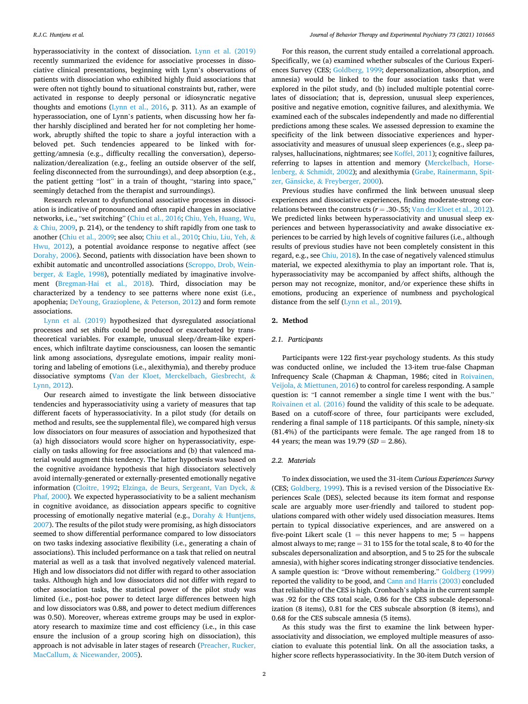hyperassociativity in the context of dissociation. [Lynn et al. \(2019\)](#page-5-0)  recently summarized the evidence for associative processes in dissociative clinical presentations, beginning with Lynn's observations of patients with dissociation who exhibited highly fluid associations that were often not tightly bound to situational constraints but, rather, were activated in response to deeply personal or idiosyncratic negative thoughts and emotions [\(Lynn et al., 2016,](#page-5-0) p. 311). As an example of hyperassociation, one of Lynn's patients, when discussing how her father harshly disciplined and berated her for not completing her homework, abruptly shifted the topic to share a joyful interaction with a beloved pet. Such tendencies appeared to be linked with forgetting/amnesia (e.g., difficulty recalling the conversation), depersonalization/derealization (e.g., feeling an outside observer of the self, feeling disconnected from the surroundings), and deep absorption (e.g., the patient getting "lost" in a train of thought, "staring into space," seemingly detached from the therapist and surroundings).

Research relevant to dysfunctional associative processes in dissociation is indicative of pronounced and often rapid changes in associative networks, i.e., "set switching" ([Chiu et al., 2016; Chiu, Yeh, Huang, Wu,](#page-5-0)   $\&$  [Chiu, 2009](#page-5-0), p. 214), or the tendency to shift rapidly from one task to another [\(Chiu et al., 2009;](#page-5-0) see also; [Chiu et al., 2010](#page-5-0); [Chiu, Liu, Yeh,](#page-5-0) & [Hwu, 2012\)](#page-5-0), a potential avoidance response to negative affect (see [Dorahy, 2006](#page-5-0)). Second, patients with dissociation have been shown to exhibit automatic and uncontrolled associations ([Scroppo, Drob, Wein](#page-6-0)berger, & [Eagle, 1998\)](#page-6-0), potentially mediated by imaginative involvement ([Bregman-Hai et al., 2018](#page-5-0)). Third, dissociation may be characterized by a tendency to see patterns where none exist (i.e., apophenia; [DeYoung, Grazioplene,](#page-5-0) & Peterson, 2012) and form remote associations.

[Lynn et al. \(2019\)](#page-5-0) hypothesized that dysregulated associational processes and set shifts could be produced or exacerbated by transtheoretical variables. For example, unusual sleep/dream-like experiences, which infiltrate daytime consciousness, can loosen the semantic link among associations, dysregulate emotions, impair reality monitoring and labeling of emotions (i.e., alexithymia), and thereby produce dissociative symptoms [\(Van der Kloet, Merckelbach, Giesbrecht,](#page-6-0) & [Lynn, 2012\)](#page-6-0).

Our research aimed to investigate the link between dissociative tendencies and hyperassociativity using a variety of measures that tap different facets of hyperassociativity. In a pilot study (for details on method and results, see the supplemental file), we compared high versus low dissociators on four measures of association and hypothesized that (a) high dissociators would score higher on hyperassociativity, especially on tasks allowing for free associations and (b) that valenced material would augment this tendency. The latter hypothesis was based on the cognitive avoidance hypothesis that high dissociators selectively avoid internally-generated or externally-presented emotionally negative information ([Cloitre, 1992;](#page-5-0) [Elzinga, de Beurs, Sergeant, Van Dyck,](#page-5-0) & [Phaf, 2000\)](#page-5-0). We expected hyperassociativity to be a salient mechanism in cognitive avoidance, as dissociation appears specific to cognitive processing of emotionally negative material (e.g., Dorahy & [Huntjens,](#page-5-0)  [2007\)](#page-5-0). The results of the pilot study were promising, as high dissociators seemed to show differential performance compared to low dissociators on two tasks indexing associative flexibility (i.e., generating a chain of associations). This included performance on a task that relied on neutral material as well as a task that involved negatively valenced material. High and low dissociators did not differ with regard to other association tasks. Although high and low dissociators did not differ with regard to other association tasks, the statistical power of the pilot study was limited (i.e., post-hoc power to detect large differences between high and low dissociators was 0.88, and power to detect medium differences was 0.50). Moreover, whereas extreme groups may be used in exploratory research to maximize time and cost efficiency (i.e., in this case ensure the inclusion of a group scoring high on dissociation), this approach is not advisable in later stages of research [\(Preacher, Rucker,](#page-6-0)  MacCallum, & [Nicewander, 2005](#page-6-0)).

For this reason, the current study entailed a correlational approach. Specifically, we (a) examined whether subscales of the Curious Experiences Survey (CES; [Goldberg, 1999;](#page-5-0) depersonalization, absorption, and amnesia) would be linked to the four association tasks that were explored in the pilot study, and (b) included multiple potential correlates of dissociation; that is, depression, unusual sleep experiences, positive and negative emotion, cognitive failures, and alexithymia. We examined each of the subscales independently and made no differential predictions among these scales. We assessed depression to examine the specificity of the link between dissociative experiences and hyperassociativity and measures of unusual sleep experiences (e.g., sleep paralyses, hallucinations, nightmares; see [Koffel, 2011\)](#page-5-0); cognitive failures, referring to lapses in attention and memory ([Merckelbach, Horse](#page-6-0)lenberg, & [Schmidt, 2002\)](#page-6-0); and alexithymia ([Grabe, Rainermann, Spit-](#page-5-0)zer, Gänsicke, & [Freyberger, 2000\)](#page-5-0).

Previous studies have confirmed the link between unusual sleep experiences and dissociative experiences, finding moderate-strong correlations between the constructs ( $r = .30-.55$ ; [Van der Kloet et al., 2012](#page-6-0)). We predicted links between hyperassociativity and unusual sleep experiences and between hyperassociativity and awake dissociative experiences to be carried by high levels of cognitive failures (i.e., although results of previous studies have not been completely consistent in this regard, e.g., see [Chiu, 2018\)](#page-5-0). In the case of negatively valenced stimulus material, we expected alexithymia to play an important role. That is, hyperassociativity may be accompanied by affect shifts, although the person may not recognize, monitor, and/or experience these shifts in emotions, producing an experience of numbness and psychological distance from the self [\(Lynn et al., 2019](#page-5-0)).

#### **2. Method**

## *2.1. Participants*

Participants were 122 first-year psychology students. As this study was conducted online, we included the 13-item true-false Chapman Infrequency Scale (Chapman & Chapman, 1986; cited in [Roivainen,](#page-6-0)  Veijola, & [Miettunen, 2016](#page-6-0)) to control for careless responding. A sample question is: "I cannot remember a single time I went with the bus." [Roivainen et al. \(2016\)](#page-6-0) found the validity of this scale to be adequate. Based on a cutoff-score of three, four participants were excluded, rendering a final sample of 118 participants. Of this sample, ninety-six (81.4%) of the participants were female. The age ranged from 18 to 44 years; the mean was 19.79 (*SD* = 2.86).

# *2.2. Materials*

To index dissociation, we used the 31-item *Curious Experiences Survey*  (CES; [Goldberg, 1999](#page-5-0)). This is a revised version of the Dissociative Experiences Scale (DES), selected because its item format and response scale are arguably more user-friendly and tailored to student populations compared with other widely used dissociation measures. Items pertain to typical dissociative experiences, and are answered on a five-point Likert scale  $(1 =$  this never happens to me;  $5 =$  happens almost always to me; range = 31 to 155 for the total scale, 8 to 40 for the subscales depersonalization and absorption, and 5 to 25 for the subscale amnesia), with higher scores indicating stronger dissociative tendencies. A sample question is: "Drove without remembering." [Goldberg \(1999\)](#page-5-0)  reported the validity to be good, and [Cann and Harris \(2003\)](#page-5-0) concluded that reliability of the CES is high. Cronbach's alpha in the current sample was .92 for the CES total scale, 0.86 for the CES subscale depersonalization (8 items), 0.81 for the CES subscale absorption (8 items), and 0.68 for the CES subscale amnesia (5 items).

As this study was the first to examine the link between hyperassociativity and dissociation, we employed multiple measures of association to evaluate this potential link. On all the association tasks, a higher score reflects hyperassociativity. In the 30-item Dutch version of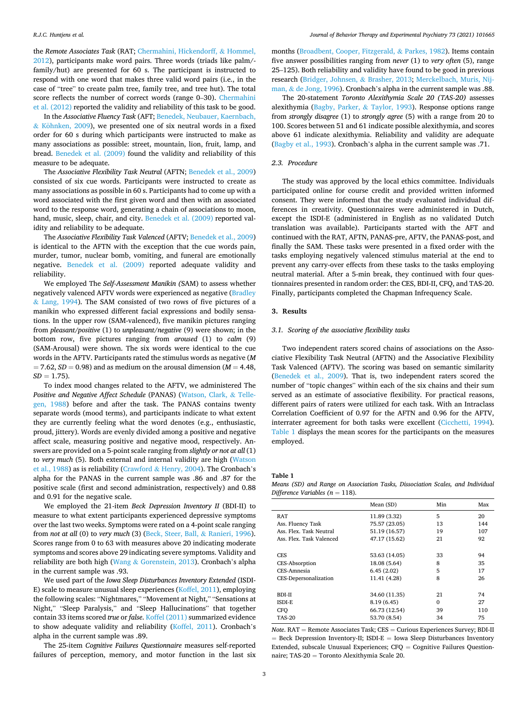the *Remote Associates Task* (RAT; [Chermahini, Hickendorff,](#page-5-0) & Hommel, [2012\)](#page-5-0), participants make word pairs. Three words (triads like palm/family/hut) are presented for 60 s. The participant is instructed to respond with one word that makes three valid word pairs (i.e., in the case of "tree" to create palm tree, family tree, and tree hut). The total score reflects the number of correct words (range 0–30). [Chermahini](#page-5-0)  [et al. \(2012\)](#page-5-0) reported the validity and reliability of this task to be good.

In the *Associative Fluency Task* (AFT; [Benedek, Neubauer, Kaernbach,](#page-5-0)   $&$  Köhnken, 2009), we presented one of six neutral words in a fixed order for 60 s during which participants were instructed to make as many associations as possible: street, mountain, lion, fruit, lamp, and bread. [Benedek et al. \(2009\)](#page-5-0) found the validity and reliability of this measure to be adequate.

The *Associative Flexibility Task Neutral* (AFTN; [Benedek et al., 2009\)](#page-5-0) consisted of six cue words. Participants were instructed to create as many associations as possible in 60 s. Participants had to come up with a word associated with the first given word and then with an associated word to the response word, generating a chain of associations to moon, hand, music, sleep, chair, and city. [Benedek et al. \(2009\)](#page-5-0) reported validity and reliability to be adequate.

The *Associative Flexibility Task Valenced* (AFTV; [Benedek et al., 2009\)](#page-5-0) is identical to the AFTN with the exception that the cue words pain, murder, tumor, nuclear bomb, vomiting, and funeral are emotionally negative. [Benedek et al. \(2009\)](#page-5-0) reported adequate validity and reliability.

We employed The *Self-Assessment Manikin (*SAM) to assess whether negatively valenced AFTV words were experienced as negative ([Bradley](#page-5-0)  & [Lang, 1994\)](#page-5-0). The SAM consisted of two rows of five pictures of a manikin who expressed different facial expressions and bodily sensations. In the upper row (SAM-valenced), five manikin pictures ranging from *pleasant/positive* (1) to *unpleasant/negative* (9) were shown; in the bottom row, five pictures ranging from *aroused* (1) to *calm* (9) (SAM-Arousal) were shown. The six words were identical to the cue words in the AFTV. Participants rated the stimulus words as negative (*M*   $= 7.62$ ,  $SD = 0.98$ ) and as medium on the arousal dimension ( $M = 4.48$ ,  $SD = 1.75$ .

To index mood changes related to the AFTV, we administered The *Positive and Negative Affect Schedule* (PANAS) [\(Watson, Clark,](#page-6-0) & Telle[gen, 1988\)](#page-6-0) before and after the task. The PANAS contains twenty separate words (mood terms), and participants indicate to what extent they are currently feeling what the word denotes (e.g., enthusiastic, proud, jittery). Words are evenly divided among a positive and negative affect scale, measuring positive and negative mood, respectively. Answers are provided on a 5-point scale ranging from *slightly or not at all* (1) to *very much* (5). Both external and internal validity are high [\(Watson](#page-6-0)  [et al., 1988](#page-6-0)) as is reliability (Crawford & [Henry, 2004](#page-5-0)). The Cronbach's alpha for the PANAS in the current sample was .86 and .87 for the positive scale (first and second administration, respectively) and 0.88 and 0.91 for the negative scale.

We employed the 21-item *Beck Depression Inventory II* (BDI-II) to measure to what extent participants experienced depressive symptoms over the last two weeks. Symptoms were rated on a 4-point scale ranging from *not at all* (0) to *very much* (3) ([Beck, Steer, Ball,](#page-5-0) & Ranieri, 1996). Scores range from 0 to 63 with measures above 20 indicating moderate symptoms and scores above 29 indicating severe symptoms. Validity and reliability are both high (Wang & [Gorenstein, 2013\)](#page-6-0). Cronbach's alpha in the current sample was .93.

We used part of the *Iowa Sleep Disturbances Inventory Extended* (ISDI-E) scale to measure unusual sleep experiences [\(Koffel, 2011](#page-5-0)), employing the following scales: "Nightmares," "Movement at Night," "Sensations at Night," "Sleep Paralysis," and "Sleep Hallucinations" that together contain 33 items scored *true* or *false*. [Koffel \(2011\)](#page-5-0) summarized evidence to show adequate validity and reliability [\(Koffel, 2011](#page-5-0)). Cronbach's alpha in the current sample was .89.

The 25-item *Cognitive Failures Questionnaire* measures self-reported failures of perception, memory, and motor function in the last six

months ([Broadbent, Cooper, Fitzgerald,](#page-5-0) & Parkes, 1982). Items contain five answer possibilities ranging from *never* (1) to *very often* (5), range 25–125). Both reliability and validity have found to be good in previous research ([Bridger, Johnsen,](#page-5-0) & Brasher, 2013; [Merckelbach, Muris, Nij](#page-6-0)man, & [de Jong, 1996](#page-6-0)). Cronbach's alpha in the current sample was .88.

The 20-statement *Toronto Alexithymia Scale 20 (TAS-20)* assesses alexithymia [\(Bagby, Parker,](#page-5-0) & Taylor, 1993). Response options range from *strongly disagree* (1) to *strongly agree* (5) with a range from 20 to 100. Scores between 51 and 61 indicate possible alexithymia, and scores above 61 indicate alexithymia. Reliability and validity are adequate ([Bagby et al., 1993\)](#page-5-0). Cronbach's alpha in the current sample was .71.

# *2.3. Procedure*

The study was approved by the local ethics committee. Individuals participated online for course credit and provided written informed consent. They were informed that the study evaluated individual differences in creativity. Questionnaires were administered in Dutch, except the ISDI-E (administered in English as no validated Dutch translation was available). Participants started with the AFT and continued with the RAT, AFTN, PANAS-pre, AFTV, the PANAS-post, and finally the SAM. These tasks were presented in a fixed order with the tasks employing negatively valenced stimulus material at the end to prevent any carry-over effects from these tasks to the tasks employing neutral material. After a 5-min break, they continued with four questionnaires presented in random order: the CES, BDI-II, CFQ, and TAS-20. Finally, participants completed the Chapman Infrequency Scale.

#### **3. Results**

#### *3.1. Scoring of the associative flexibility tasks*

Two independent raters scored chains of associations on the Associative Flexibility Task Neutral (AFTN) and the Associative Flexibility Task Valenced (AFTV). The scoring was based on semantic similarity ([Benedek et al., 2009\)](#page-5-0). That is, two independent raters scored the number of "topic changes" within each of the six chains and their sum served as an estimate of associative flexibility*.* For practical reasons, different pairs of raters were utilized for each task. With an Intraclass Correlation Coefficient of 0.97 for the AFTN and 0.96 for the AFTV, interrater agreement for both tasks were excellent [\(Cicchetti, 1994](#page-5-0)). Table 1 displays the mean scores for the participants on the measures employed.

**Table 1** 

*Means (SD) and Range on Association Tasks, Dissociation Scales, and Individual Difference Variables (n* = 118).

|                          | Mean (SD)     | Min      | Max |
|--------------------------|---------------|----------|-----|
| RAT                      | 11.89 (3.32)  | 5        | 20  |
| Ass. Fluency Task        | 75.57 (23.05) | 13       | 144 |
| Ass. Flex. Task Neutral  | 51.19 (16.57) | 19       | 107 |
| Ass. Flex. Task Valenced | 47.17 (15.62) | 21       | 92  |
|                          |               |          |     |
| <b>CES</b>               | 53.63 (14.05) | 33       | 94  |
| CES-Absorption           | 18.08 (5.64)  | 8<br>5   | 35  |
| CES-Amnesia              | 6.45(2.02)    |          | 17  |
| CES-Depersonalization    | 11.41 (4.28)  | 8        | 26  |
|                          |               |          |     |
| BDI-II                   | 34.60 (11.35) | 21       | 74  |
| ISDI-E                   | 8.19 (6.45)   | $\Omega$ | 27  |
| <b>CFO</b>               | 66.73 (12.54) | 39       | 110 |
| <b>TAS-20</b>            | 53.70 (8.54)  | 34       | 75  |
|                          |               |          |     |

*Note*. RAT = Remote Associates Task; CES = Curious Experiences Survey; BDI-II  $=$  Beck Depression Inventory-II; ISDI-E  $=$  Iowa Sleep Disturbances Inventory Extended, subscale Unusual Experiences; CFQ = Cognitive Failures Questionnaire; TAS-20 = Toronto Alexithymia Scale 20.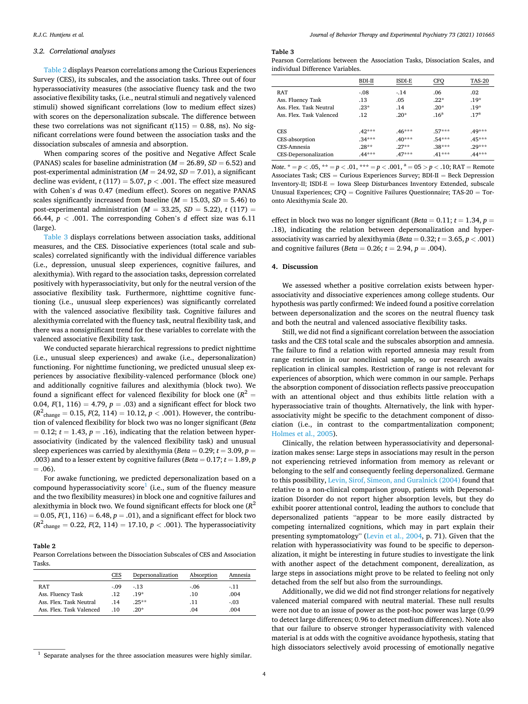#### *3.2. Correlational analyses*

Table 2 displays Pearson correlations among the Curious Experiences Survey (CES), its subscales, and the association tasks. Three out of four hyperassociativity measures (the associative fluency task and the two associative flexibility tasks, (i.e., neutral stimuli and negatively valenced stimuli) showed significant correlations (low to medium effect sizes) with scores on the depersonalization subscale. The difference between these two correlations was not significant  $t(115) = 0.88$ , ns). No significant correlations were found between the association tasks and the dissociation subscales of amnesia and absorption.

When comparing scores of the positive and Negative Affect Scale (PANAS) scales for baseline administration (*M* = 26.89, *SD* = 6.52) and post-experimental administration (*M* = 24.92, *SD* = 7.01), a significant decline was evident,  $t(117) = 5.07$ ,  $p < .001$ . The effect size measured with Cohen's *d* was 0.47 (medium effect). Scores on negative PANAS scales significantly increased from baseline  $(M = 15.03, SD = 5.46)$  to post-experimental administration ( $M = 33.25$ ,  $SD = 5.22$ ),  $t(117) =$ 66.44,  $p < .001$ . The corresponding Cohen's *d* effect size was 6.11 (large).

Table 3 displays correlations between association tasks, additional measures, and the CES. Dissociative experiences (total scale and subscales) correlated significantly with the individual difference variables (i.e., depression, unusual sleep experiences, cognitive failures, and alexithymia). With regard to the association tasks, depression correlated positively with hyperassociativity, but only for the neutral version of the associative flexibility task. Furthermore, nighttime cognitive functioning (i.e., unusual sleep experiences) was significantly correlated with the valenced associative flexibility task. Cognitive failures and alexithymia correlated with the fluency task, neutral flexibility task, and there was a nonsignificant trend for these variables to correlate with the valenced associative flexibility task.

We conducted separate hierarchical regressions to predict nighttime (i.e., unusual sleep experiences) and awake (i.e., depersonalization) functioning. For nighttime functioning, we predicted unusual sleep experiences by associative flexibility-valenced performance (block one) and additionally cognitive failures and alexithymia (block two). We found a significant effect for valenced flexibility for block one  $(R^2 =$ 0.04,  $F(1, 116) = 4.79$ ,  $p = .03$ ) and a significant effect for block two  $(R^2_{\text{change}} = 0.15, F(2, 114) = 10.12, p < .001)$ . However, the contribution of valenced flexibility for block two was no longer significant (*Beta*   $= 0.12$ ;  $t = 1.43$ ,  $p = .16$ ), indicating that the relation between hyperassociativity (indicated by the valenced flexibility task) and unusual sleep experiences was carried by alexithymia ( $Beta = 0.29$ ;  $t = 3.09$ ,  $p =$ .003) and to a lesser extent by cognitive failures ( $Beta = 0.17$ ;  $t = 1.89$ ,  $p$  $= .06$ ).

For awake functioning, we predicted depersonalization based on a compound hyperassociativity score<sup>1</sup> (i.e., sum of the fluency measure and the two flexibility measures) in block one and cognitive failures and alexithymia in block two. We found significant effects for block one  $(R^2)$  $= 0.05$ ,  $F(1, 116) = 6.48$ ,  $p = .01$ ), and a significant effect for block two  $(R^2_{\text{change}} = 0.22, F(2, 114) = 17.10, p < .001)$ . The hyperassociativity

# **Table 2**

Pearson Correlations between the Dissociation Subscales of CES and Association Tasks.

|                          | CES     | Depersonalization | Absorption | Amnesia |
|--------------------------|---------|-------------------|------------|---------|
| <b>RAT</b>               | $-.09$  | $-13$             | $-.06$     | $-11$   |
| Ass. Fluency Task        | $.12\,$ | $.19*$            | .10        | .004    |
| Ass. Flex. Task Neutral  | .14     | $.25**$           | .11        | $-.03$  |
| Ass. Flex. Task Valenced | -10     | $.20*$            | .04        | .004    |

#### **Table 3**

Pearson Correlations between the Association Tasks, Dissociation Scales, and individual Difference Variables.

|                          | BDI-II   | <b>ISDI-E</b> | <b>CFO</b>       | <b>TAS-20</b>    |
|--------------------------|----------|---------------|------------------|------------------|
| <b>RAT</b>               | $-.08$   | $-.14$        | .06              | .02              |
| Ass. Fluency Task        | .13      | .05           | $.22*$           | $.19*$           |
| Ass. Flex. Task Neutral  | $.23*$   | .14           | $.20*$           | $.19*$           |
| Ass. Flex. Task Valenced | .12      | $.20*$        | .16 <sup>a</sup> | .17 <sup>a</sup> |
| <b>CES</b>               | $.42***$ | $.46***$      | $.57***$         | $.49***$         |
| CES-absorption           | $.34***$ | $.40***$      | $.54***$         | $.45***$         |
| CES-Amnesia              | $.28**$  | $27**$        | $.38***$         | $29***$          |
| CES-Depersonalization    | $.44***$ | $.47***$      | $.41***$         | $.44***$         |

*Note*.  $* = p < .05$ ,  $** = p < .01$ ,  $** = p < .001$ ,  $A = 05 > p < .10$ ; RAT = Remote Associates Task; CES = Curious Experiences Survey; BDI-II = Beck Depression Inventory-II; ISDI-E = Iowa Sleep Disturbances Inventory Extended, subscale Unusual Experiences;  $CFO = Cognitive$  Failures Questionnaire; TAS-20 = Toronto Alexithymia Scale 20.

effect in block two was no longer significant ( $Beta = 0.11$ ;  $t = 1.34$ ,  $p =$ .18), indicating the relation between depersonalization and hyperassociativity was carried by alexithymia ( $Beta = 0.32$ ;  $t = 3.65$ ,  $p < .001$ ) and cognitive failures (*Beta* = 0.26;  $t = 2.94$ ,  $p = .004$ ).

#### **4. Discussion**

We assessed whether a positive correlation exists between hyperassociativity and dissociative experiences among college students. Our hypothesis was partly confirmed: We indeed found a positive correlation between depersonalization and the scores on the neutral fluency task and both the neutral and valenced associative flexibility tasks.

Still, we did not find a significant correlation between the association tasks and the CES total scale and the subscales absorption and amnesia. The failure to find a relation with reported amnesia may result from range restriction in our nonclinical sample, so our research awaits replication in clinical samples. Restriction of range is not relevant for experiences of absorption, which were common in our sample. Perhaps the absorption component of dissociation reflects passive preoccupation with an attentional object and thus exhibits little relation with a hyperassociative train of thoughts. Alternatively, the link with hyperassociativity might be specific to the detachment component of dissociation (i.e., in contrast to the compartmentalization component; [Holmes et al., 2005\)](#page-5-0).

Clinically, the relation between hyperassociativity and depersonalization makes sense: Large steps in associations may result in the person not experiencing retrieved information from memory as relevant or belonging to the self and consequently feeling depersonalized. Germane to this possibility, [Levin, Sirof, Simeon, and Guralnick \(2004\)](#page-5-0) found that relative to a non-clinical comparison group, patients with Depersonalization Disorder do not report higher absorption levels, but they do exhibit poorer attentional control, leading the authors to conclude that depersonalized patients "appear to be more easily distracted by competing internalized cognitions, which may in part explain their presenting symptomatology" ([Levin et al., 2004](#page-5-0), p. 71). Given that the relation with hyperassociativity was found to be specific to depersonalization, it might be interesting in future studies to investigate the link with another aspect of the detachment component, derealization, as large steps in associations might prove to be related to feeling not only detached from the self but also from the surroundings.

Additionally, we did we did not find stronger relations for negatively valenced material compared with neutral material. These null results were not due to an issue of power as the post-hoc power was large (0.99 to detect large differences; 0.96 to detect medium differences). Note also that our failure to observe stronger hyperassociativity with valenced material is at odds with the cognitive avoidance hypothesis, stating that high dissociators selectively avoid processing of emotionally negative

 $1$  Separate analyses for the three association measures were highly similar.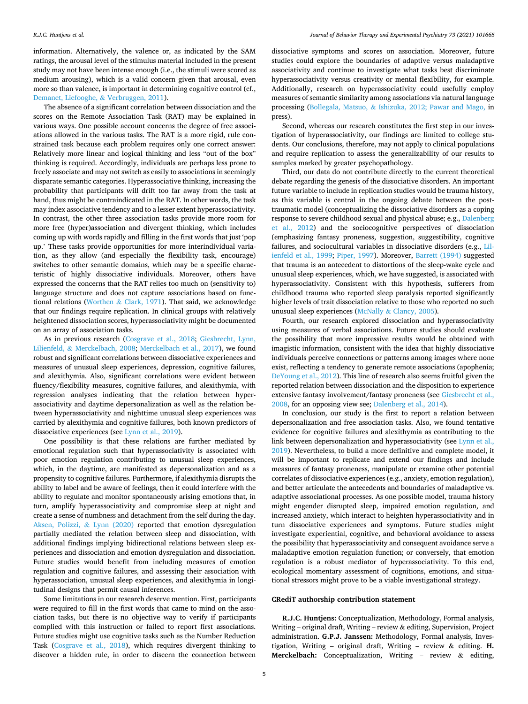information. Alternatively, the valence or, as indicated by the SAM ratings, the arousal level of the stimulus material included in the present study may not have been intense enough (i.e., the stimuli were scored as medium arousing), which is a valid concern given that arousal, even more so than valence, is important in determining cognitive control (cf., [Demanet, Liefooghe,](#page-5-0) & Verbruggen, 2011).

The absence of a significant correlation between dissociation and the scores on the Remote Association Task (RAT) may be explained in various ways. One possible account concerns the degree of free associations allowed in the various tasks. The RAT is a more rigid, rule constrained task because each problem requires only one correct answer: Relatively more linear and logical thinking and less "out of the box" thinking is required. Accordingly, individuals are perhaps less prone to freely associate and may not switch as easily to associations in seemingly disparate semantic categories. Hyperassociative thinking, increasing the probability that participants will drift too far away from the task at hand, thus might be contraindicated in the RAT. In other words, the task may index associative tendency and to a lesser extent hyperassociativity. In contrast, the other three association tasks provide more room for more free (hyper)association and divergent thinking, which includes coming up with words rapidly and filling in the first words that just 'pop up.' These tasks provide opportunities for more interindividual variation, as they allow (and especially the flexibility task, encourage) switches to other semantic domains, which may be a specific characteristic of highly dissociative individuals. Moreover, others have expressed the concerns that the RAT relies too much on (sensitivity to) language structure and does not capture associations based on functional relations (Worthen & [Clark, 1971\)](#page-6-0). That said, we acknowledge that our findings require replication. In clinical groups with relatively heightened dissociation scores, hyperassociativity might be documented on an array of association tasks.

As in previous research ([Cosgrave et al., 2018;](#page-5-0) [Giesbrecht, Lynn,](#page-5-0)  Lilienfeld, & [Merckelbach, 2008;](#page-5-0) [Merckelbach et al., 2017](#page-6-0)), we found robust and significant correlations between dissociative experiences and measures of unusual sleep experiences, depression, cognitive failures, and alexithymia. Also, significant correlations were evident between fluency/flexibility measures, cognitive failures, and alexithymia, with regression analyses indicating that the relation between hyperassociativity and daytime depersonalization as well as the relation between hyperassociativity and nighttime unusual sleep experiences was carried by alexithymia and cognitive failures, both known predictors of dissociative experiences (see [Lynn et al., 2019](#page-5-0)).

One possibility is that these relations are further mediated by emotional regulation such that hyperassociativity is associated with poor emotion regulation contributing to unusual sleep experiences, which, in the daytime, are manifested as depersonalization and as a propensity to cognitive failures. Furthermore, if alexithymia disrupts the ability to label and be aware of feelings, then it could interfere with the ability to regulate and monitor spontaneously arising emotions that, in turn, amplify hyperassociativity and compromise sleep at night and create a sense of numbness and detachment from the self during the day. [Aksen, Polizzi,](#page-5-0) & Lynn (2020) reported that emotion dysregulation partially mediated the relation between sleep and dissociation, with additional findings implying bidirectional relations between sleep experiences and dissociation and emotion dysregulation and dissociation. Future studies would benefit from including measures of emotion regulation and cognitive failures, and assessing their association with hyperassociation, unusual sleep experiences, and alexithymia in longitudinal designs that permit causal inferences.

Some limitations in our research deserve mention. First, participants were required to fill in the first words that came to mind on the association tasks, but there is no objective way to verify if participants complied with this instruction or failed to report first associations. Future studies might use cognitive tasks such as the Number Reduction Task [\(Cosgrave et al., 2018\)](#page-5-0), which requires divergent thinking to discover a hidden rule, in order to discern the connection between

dissociative symptoms and scores on association. Moreover, future studies could explore the boundaries of adaptive versus maladaptive associativity and continue to investigate what tasks best discriminate hyperassociativity versus creativity or mental flexibility, for example. Additionally, research on hyperassociativity could usefully employ measures of semantic similarity among associations via natural language processing (Bollegala, Matsuo, & [Ishizuka, 2012; Pawar and Mago,](#page-5-0) in press).

Second, whereas our research constitutes the first step in our investigation of hyperassociativity, our findings are limited to college students. Our conclusions, therefore, may not apply to clinical populations and require replication to assess the generalizability of our results to samples marked by greater psychopathology.

Third, our data do not contribute directly to the current theoretical debate regarding the genesis of the dissociative disorders. An important future variable to include in replication studies would be trauma history, as this variable is central in the ongoing debate between the posttraumatic model (conceptualizing the dissociative disorders as a coping response to severe childhood sexual and physical abuse; e.g., [Dalenberg](#page-5-0)  [et al., 2012\)](#page-5-0) and the sociocognitive perspectives of dissociation (emphasizing fantasy proneness, suggestion, suggestibility, cognitive failures, and sociocultural variables in dissociative disorders (e.g., [Lil](#page-5-0)[ienfeld et al., 1999](#page-5-0); [Piper, 1997\)](#page-6-0). Moreover, [Barrett \(1994\)](#page-5-0) suggested that trauma is an antecedent to distortions of the sleep-wake cycle and unusual sleep experiences, which, we have suggested, is associated with hyperassociativity. Consistent with this hypothesis, sufferers from childhood trauma who reported sleep paralysis reported significantly higher levels of trait dissociation relative to those who reported no such unusual sleep experiences (McNally & [Clancy, 2005](#page-5-0)).

Fourth, our research explored dissociation and hyperassociativity using measures of verbal associations. Future studies should evaluate the possibility that more impressive results would be obtained with imagistic information, consistent with the idea that highly dissociative individuals perceive connections or patterns among images where none exist, reflecting a tendency to generate remote associations (apophenia; [DeYoung et al., 2012\)](#page-5-0). This line of research also seems fruitful given the reported relation between dissociation and the disposition to experience extensive fantasy involvement/fantasy proneness (see [Giesbrecht et al.,](#page-5-0)  [2008,](#page-5-0) for an opposing view see; [Dalenberg et al., 2014](#page-5-0)).

In conclusion, our study is the first to report a relation between depersonalization and free association tasks. Also, we found tentative evidence for cognitive failures and alexithymia as contributing to the link between depersonalization and hyperassociativity (see [Lynn et al.,](#page-5-0)  [2019\)](#page-5-0). Nevertheless, to build a more definitive and complete model, it will be important to replicate and extend our findings and include measures of fantasy proneness, manipulate or examine other potential correlates of dissociative experiences (e.g., anxiety, emotion regulation), and better articulate the antecedents and boundaries of maladaptive vs. adaptive associational processes. As one possible model, trauma history might engender disrupted sleep, impaired emotion regulation, and increased anxiety, which interact to heighten hyperassociativity and in turn dissociative experiences and symptoms. Future studies might investigate experiential, cognitive, and behavioral avoidance to assess the possibility that hyperassociativity and consequent avoidance serve a maladaptive emotion regulation function; or conversely, that emotion regulation is a robust mediator of hyperassociativity. To this end, ecological momentary assessment of cognitions, emotions, and situational stressors might prove to be a viable investigational strategy.

#### **CRediT authorship contribution statement**

**R.J.C. Huntjens:** Conceptualization, Methodology, Formal analysis, Writing – original draft, Writing – review & editing, Supervision, Project administration. **G.P.J. Janssen:** Methodology, Formal analysis, Investigation, Writing – original draft, Writing – review & editing. **H. Merckelbach:** Conceptualization, Writing – review & editing,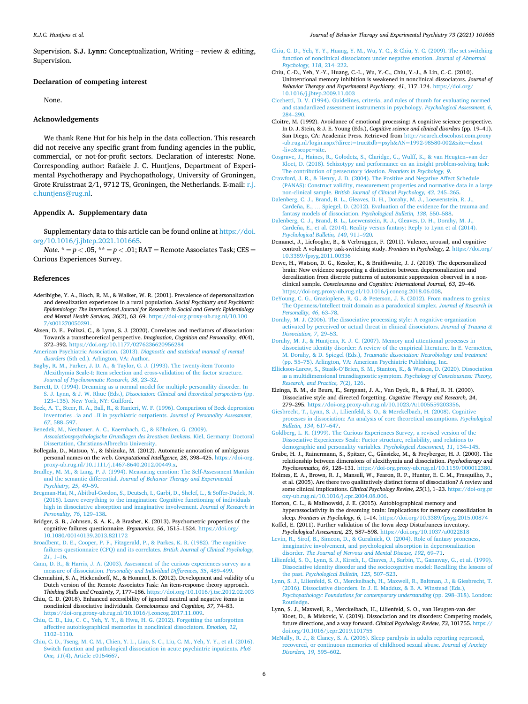<span id="page-5-0"></span>Supervision. **S.J. Lynn:** Conceptualization, Writing – review & editing, Supervision.

#### **Declaration of competing interest**

None.

# **Acknowledgements**

We thank Rene Hut for his help in the data collection. This research did not receive any specific grant from funding agencies in the public, commercial, or not-for-profit sectors. Declaration of interests: None. Corresponding author: Rafaële J. C. Huntjens, Department of Experimental Psychotherapy and Psychopathology, University of Groningen, Grote Kruisstraat 2/1, 9712 TS, Groningen, the Netherlands. E-mail: r.j. [c.huntjens@rug.nl](mailto:r.j.c.huntjens@rug.nl).

# **Appendix A. Supplementary data**

Supplementary data to this article can be found online at [https://doi.](https://doi.org/10.1016/j.jbtep.2021.101665)  [org/10.1016/j.jbtep.2021.101665.](https://doi.org/10.1016/j.jbtep.2021.101665)

*Note.*  $* = p < .05$ ,  $** = p < .01$ ; RAT = Remote Associates Task; CES = Curious Experiences Survey.

#### **References**

- Aderibigbe, Y. A., Bloch, R. M., & Walker, W. R. (2001). Prevalence of depersonalization and derealization experiences in a rural population. *Social Psychiatry and Psychiatric Epidemiology: The International Journal for Research in Social and Genetic Epidemiology and Mental Health Services, 36*(2), 63–69. [https://doi-org.proxy-ub.rug.nl/10.100](https://doi-org.proxy-ub.rug.nl/10.1007/s001270050291) [7/s001270050291.](https://doi-org.proxy-ub.rug.nl/10.1007/s001270050291)
- Aksen, D. E., Polizzi, C., & Lynn, S. J. (2020). Correlates and mediators of dissociation: Towards a transtheoretical perspective. *Imagination, Cognition and Personality, 40*(4), 372–392. <https://doi.org/10.1177/0276236620956284>
- [American Psychiatric Association. \(2013\).](http://refhub.elsevier.com/S0005-7916(21)00030-6/sref3) *Diagnostic and statistical manual of mental disorders* [\(5th ed.\). Arlington, VA: Author](http://refhub.elsevier.com/S0005-7916(21)00030-6/sref3).
- [Bagby, R. M., Parker, J. D. A., & Taylor, G. J. \(1993\). The twenty-item Toronto](http://refhub.elsevier.com/S0005-7916(21)00030-6/sref4)  [Alexithymia Scale-I: Item selection and cross-validation of the factor structure.](http://refhub.elsevier.com/S0005-7916(21)00030-6/sref4) *[Journal of Psychosomatic Research, 38](http://refhub.elsevier.com/S0005-7916(21)00030-6/sref4)*, 23–32.
- [Barrett, D. \(1994\). Dreaming as a normal model for multiple personality disorder. In](http://refhub.elsevier.com/S0005-7916(21)00030-6/sref5)  S. J. Lynn, & J. W. Rhue (Eds.), *[Dissociation: Clinical and theoretical perspectives](http://refhub.elsevier.com/S0005-7916(21)00030-6/sref5)* (pp. 123–[135\). New York, NY: Guilford.](http://refhub.elsevier.com/S0005-7916(21)00030-6/sref5)
- [Beck, A. T., Steer, R. A., Ball, R., & Ranieri, W. F. \(1996\). Comparison of Beck depression](http://refhub.elsevier.com/S0005-7916(21)00030-6/sref6)  inventories –ia and –II in psychiatric outpatients. *[Journal of Personality Assessment,](http://refhub.elsevier.com/S0005-7916(21)00030-6/sref6)  67*[, 588](http://refhub.elsevier.com/S0005-7916(21)00030-6/sref6)–597.
- Benedek, M., Neubauer, A. C., Kaernbach, C., & Köhnken, G. (2009).

*[Assoziationspsychologische Grundlagen des kreativen Denkens](http://refhub.elsevier.com/S0005-7916(21)00030-6/sref7)*. Kiel, Germany: Doctoral [Dissertation, Christians-Albrechts University](http://refhub.elsevier.com/S0005-7916(21)00030-6/sref7).

- Bollegala, D., Matsuo, Y., & Ishizuka, M. (2012). Automatic annotation of ambiguous personal names on the web. *Computational Intelligence, 28*, 398–425. [https://doi-org.](https://doi-org.proxy-ub.rug.nl/10.1111/j.1467-8640.2012.00449.x)  [proxy-ub.rug.nl/10.1111/j.1467-8640.2012.00449.x](https://doi-org.proxy-ub.rug.nl/10.1111/j.1467-8640.2012.00449.x).
- [Bradley, M. M., & Lang, P. J. \(1994\). Measuring emotion: The Self-Assessment Manikin](http://refhub.elsevier.com/S0005-7916(21)00030-6/sref9)  and the semantic differential. *[Journal of Behavior Therapy and Experimental](http://refhub.elsevier.com/S0005-7916(21)00030-6/sref9) [Psychiatry, 25](http://refhub.elsevier.com/S0005-7916(21)00030-6/sref9)*, 49–59.
- [Bregman-Hai, N., Abitbul-Gordon, S., Deutsch, I., Garbi, D., Shelef, L., & Soffer-Dudek, N.](http://refhub.elsevier.com/S0005-7916(21)00030-6/sref10)  [\(2018\). Leave everything to the imagination: Cognitive functioning of individuals](http://refhub.elsevier.com/S0005-7916(21)00030-6/sref10)  [high in dissociative absorption and imaginative involvement.](http://refhub.elsevier.com/S0005-7916(21)00030-6/sref10) *Journal of Research in [Personality, 76](http://refhub.elsevier.com/S0005-7916(21)00030-6/sref10)*, 129–138.
- Bridger, S. B., Johnsen, S. A. K., & Brasher, K. (2013). Psychometric properties of the cognitive failures questionnaire. *Ergonomics, 56*, 1515–1524. [https://doi.org/](https://doi.org/10.1080/00140139.2013.821172) [10.1080/00140139.2013.821172](https://doi.org/10.1080/00140139.2013.821172)
- [Broadbent, D. E., Cooper, P. F., Fitzgerald, P., & Parkes, K. R. \(1982\). The cognitive](http://refhub.elsevier.com/S0005-7916(21)00030-6/sref12) [failures questionnaire \(CFQ\) and its correlates.](http://refhub.elsevier.com/S0005-7916(21)00030-6/sref12) *British Journal of Clinical Psychology, 21*, 1–[16.](http://refhub.elsevier.com/S0005-7916(21)00030-6/sref12)
- [Cann, D. R., & Harris, J. A. \(2003\). Assessment of the curious experiences survey as a](http://refhub.elsevier.com/S0005-7916(21)00030-6/sref13)  measure of dissociation. *[Personality and Individual Differences, 35](http://refhub.elsevier.com/S0005-7916(21)00030-6/sref13)*, 489–499.
- Chermahini, S. A., Hickendorff, M., & Hommel, B. (2012). Development and validity of a Dutch version of the Remote Associates Task: An item-response theory approach. *Thinking Skills and Creativity, 7*, 177–186.<https://doi.org/10.1016/j.tsc.2012.02.003>
- Chiu, C. D. (2018). Enhanced accessibility of ignored neutral and negative items in nonclinical dissociative individuals. *Consciousness and Cognition, 57*, 74–83. <https://doi-org.proxy-ub.rug.nl/10.1016/j.concog.2017.11.009>.
- [Chiu, C. D., Liu, C. C., Yeh, Y. Y., & Hwu, H. G. \(2012\). Forgetting the unforgotten](http://refhub.elsevier.com/S0005-7916(21)00030-6/sref16)  [affective autobiographical memories in nonclinical dissociators.](http://refhub.elsevier.com/S0005-7916(21)00030-6/sref16) *Emotion, 12*, [1102](http://refhub.elsevier.com/S0005-7916(21)00030-6/sref16)–1110.
- [Chiu, C. D., Tseng, M. C. M., Chien, Y. L., Liao, S. C., Liu, C. M., Yeh, Y. Y., et al. \(2016\).](http://refhub.elsevier.com/S0005-7916(21)00030-6/sref17)  [Switch function and pathological dissociation in acute psychiatric inpatients.](http://refhub.elsevier.com/S0005-7916(21)00030-6/sref17) *PloS One, 11*[\(4\), Article e0154667.](http://refhub.elsevier.com/S0005-7916(21)00030-6/sref17)
- [Chiu, C. D., Yeh, Y. Y., Huang, Y. M., Wu, Y. C., & Chiu, Y. C. \(2009\). The set switching](http://refhub.elsevier.com/S0005-7916(21)00030-6/sref18)  [function of nonclinical dissociators under negative emotion.](http://refhub.elsevier.com/S0005-7916(21)00030-6/sref18) *Journal of Abnormal [Psychology, 118](http://refhub.elsevier.com/S0005-7916(21)00030-6/sref18)*, 214–222.
- Chiu, C.-D., Yeh, Y.-Y., Huang, C.-L., Wu, Y.-C., Chiu, Y.-J., & Lin, C.-C. (2010). Unintentional memory inhibition is weakened in nonclinical dissociators. *Journal of Behavior Therapy and Experimental Psychiatry, 41*, 117–124. [https://doi.org/](https://doi.org/10.1016/j.jbtep.2009.11.003) [10.1016/j.jbtep.2009.11.003](https://doi.org/10.1016/j.jbtep.2009.11.003)
- [Cicchetti, D. V. \(1994\). Guidelines, criteria, and rules of thumb for evaluating normed](http://refhub.elsevier.com/S0005-7916(21)00030-6/sref20) [and standardized assessment instruments in psychology.](http://refhub.elsevier.com/S0005-7916(21)00030-6/sref20) *Psychological Assessment, 6*, 284–[290](http://refhub.elsevier.com/S0005-7916(21)00030-6/sref20).
- Cloitre, M. (1992). Avoidance of emotional processing: A cognitive science perspective. In D. J. Stein, & J. E. Young (Eds.), *Cognitive science and clinical disorders* (pp. 19–41). San Diego, CA: Academic Press. Retrieved from [http://search.ebscohost.com.proxy](http://search.ebscohost.com.proxy-ub.rug.nl/login.aspx?direct=true&db=psyh&AN=1992-98580-002&site=ehost-live&scope=site)  [-ub.rug.nl/login.aspx?direct](http://search.ebscohost.com.proxy-ub.rug.nl/login.aspx?direct=true&db=psyh&AN=1992-98580-002&site=ehost-live&scope=site)=true&db=psyh&AN=1992-98580-002&site=ehost -live&[scope](http://search.ebscohost.com.proxy-ub.rug.nl/login.aspx?direct=true&db=psyh&AN=1992-98580-002&site=ehost-live&scope=site)=site.
- [Cosgrave, J., Haines, R., Golodetz, S., Claridge, G., Wulff, K., & van Heugten](http://refhub.elsevier.com/S0005-7916(21)00030-6/sref22)–van der [Kloet, D. \(2018\). Schizotypy and performance on an insight problem-solving task:](http://refhub.elsevier.com/S0005-7916(21)00030-6/sref22) [The contribution of persecutory ideation.](http://refhub.elsevier.com/S0005-7916(21)00030-6/sref22) *Frontiers in Psychology, 9*.
- [Crawford, J. R., & Henry, J. D. \(2004\). The Positive and Negative Affect Schedule](http://refhub.elsevier.com/S0005-7916(21)00030-6/sref23)  [\(PANAS\): Construct validity, measurement properties and normative data in a large](http://refhub.elsevier.com/S0005-7916(21)00030-6/sref23)  non-clinical sample. *[British Journal of Clinical Psychology, 43](http://refhub.elsevier.com/S0005-7916(21)00030-6/sref23)*, 245–265.
- [Dalenberg, C. J., Brand, B. L., Gleaves, D. H., Dorahy, M. J., Loewenstein, R. J.,](http://refhub.elsevier.com/S0005-7916(21)00030-6/sref24)  Cardeña, E., ... Spiegel, D. (2012). Evaluation of the evidence for the trauma and [fantasy models of dissociation.](http://refhub.elsevier.com/S0005-7916(21)00030-6/sref24) *Psychological Bulletin, 138*, 550–588.
- [Dalenberg, C. J., Brand, B. L., Loewenstein, R. J., Gleaves, D. H., Dorahy, M. J.,](http://refhub.elsevier.com/S0005-7916(21)00030-6/sref25)  Cardeña, [E., et al. \(2014\). Reality versus fantasy: Reply to Lynn et al \(2014\).](http://refhub.elsevier.com/S0005-7916(21)00030-6/sref25) *[Psychological Bulletin, 140](http://refhub.elsevier.com/S0005-7916(21)00030-6/sref25)*, 911–920.
- Demanet, J., Liefooghe, B., & Verbruggen, F. (2011). Valence, arousal, and cognitive control: A voluntary task-switching study. *Frontiers in Psychology, 2*. [https://doi.org/](https://doi.org/10.3389/fpsyg.2011.00336)  [10.3389/fpsyg.2011.00336](https://doi.org/10.3389/fpsyg.2011.00336)
- Dewe, H., Watson, D. G., Kessler, K., & Braithwaite, J. J. (2018). The depersonalized brain: New evidence supporting a distinction between depersonalization and derealization from discrete patterns of autonomic suppression observed in a nonclinical sample. *Consciousness and Cognition: International Journal, 63*, 29–46. <https://doi-org.proxy-ub.rug.nl/10.1016/j.concog.2018.06.008>.
- [DeYoung, C. G., Grazioplene, R. G., & Peterson, J. B. \(2012\). From madness to genius:](http://refhub.elsevier.com/S0005-7916(21)00030-6/sref28) [The Openness/Intellect trait domain as a paradoxical simplex.](http://refhub.elsevier.com/S0005-7916(21)00030-6/sref28) *Journal of Research in [Personality, 46](http://refhub.elsevier.com/S0005-7916(21)00030-6/sref28)*, 63–78.
- [Dorahy, M. J. \(2006\). The dissociative processing style: A cognitive organization](http://refhub.elsevier.com/S0005-7916(21)00030-6/sref29) [activated by perceived or actual threat in clinical dissociators.](http://refhub.elsevier.com/S0005-7916(21)00030-6/sref29) *Journal of Trauma & [Dissociation, 7](http://refhub.elsevier.com/S0005-7916(21)00030-6/sref29)*, 29–53.
- [Dorahy, M. J., & Huntjens, R. J. C. \(2007\). Memory and attentional processes in](http://refhub.elsevier.com/S0005-7916(21)00030-6/sref30) [dissociative identity disorder: A review of the empirical literature. In E. Vermetten,](http://refhub.elsevier.com/S0005-7916(21)00030-6/sref30)  M. Dorahy, & D. Spiegel (Eds.), *[Traumatic dissociation: Neurobiology and treatment](http://refhub.elsevier.com/S0005-7916(21)00030-6/sref30)*  (pp. 55–[75\). Arlington, VA: American Psychiatric Publishing, Inc.](http://refhub.elsevier.com/S0005-7916(21)00030-6/sref30)
- Ellickson-Larew, S., Stasik-O'[Brien, S. M., Stanton, K., & Watson, D. \(2020\). Dissociation](http://refhub.elsevier.com/S0005-7916(21)00030-6/sref31)  [as a multidimensional transdiagnostic symptom.](http://refhub.elsevier.com/S0005-7916(21)00030-6/sref31) *Psychology of Consciousness: Theory, [Research, and Practice, 7](http://refhub.elsevier.com/S0005-7916(21)00030-6/sref31)*(2), 126.
- Elzinga, B. M., de Beurs, E., Sergeant, J. A., Van Dyck, R., & Phaf, R. H. (2000). Dissociative style and directed forgetting. *Cognitive Therapy and Research, 24*, 279–295. [https://doi-org.proxy-ub.rug.nl/10.1023/A:1005559203356.](https://doi-org.proxy-ub.rug.nl/10.1023/A:1005559203356)
- [Giesbrecht, T., Lynn, S. J., Lilienfeld, S. O., & Merckelbach, H. \(2008\). Cognitive](http://refhub.elsevier.com/S0005-7916(21)00030-6/sref33) [processes in dissociation: An analysis of core theoretical assumptions.](http://refhub.elsevier.com/S0005-7916(21)00030-6/sref33) *Psychological [Bulletin, 134](http://refhub.elsevier.com/S0005-7916(21)00030-6/sref33)*, 617–647.
- [Goldberg, L. R. \(1999\). The Curious Experiences Survey, a revised version of the](http://refhub.elsevier.com/S0005-7916(21)00030-6/sref34) [Dissociative Experiences Scale: Factor structure, reliability, and relations to](http://refhub.elsevier.com/S0005-7916(21)00030-6/sref34)  [demographic and personality variables.](http://refhub.elsevier.com/S0005-7916(21)00030-6/sref34) *Psychological Assessment, 11*, 134–145.
- Grabe, H. J., Rainermann, S., Spitzer, C., Gänsicke, M., & Freyberger, H. J. (2000). The relationship between dimensions of alexithymia and dissociation. *Psychotherapy and Psychosomatics, 69*, 128–131. <https://doi-org.proxy-ub.rug.nl/10.1159/000012380>.
- Holmes, E. A., Brown, R. J., Mansell, W., Fearon, R. P., Hunter, E. C. M., Frasquilho, F., et al. (2005). Are there two qualitatively distinct forms of dissociation? A review and some clinical implications. *Clinical Psychology Review, 25*(1), 1–23. [https://doi-org.pr](https://doi-org.proxy-ub.rug.nl/10.1016/j.cpr.2004.08.006)  [oxy-ub.rug.nl/10.1016/j.cpr.2004.08.006](https://doi-org.proxy-ub.rug.nl/10.1016/j.cpr.2004.08.006).

Horton, C. L., & Malinowski, J. E. (2015). Autobiographical memory and hyperassociativity in the dreaming brain: Implications for memory consolidation in sleep. *Frontiers in Psychology, 6*, 1–14. <https://doi.org/10.3389/fpsyg.2015.00874>

- Koffel, E. (2011). Further validation of the Iowa sleep Disturbances inventory. *Psychological Assessment, 23*, 587–598.<https://doi.org/10.1037/a0022818>
- [Levin, R., Sirof, B., Simeon, D., & Guralnick, O. \(2004\). Role of fantasy proneness,](http://refhub.elsevier.com/S0005-7916(21)00030-6/sref39)  [imaginative involvement, and psychological absorption in depersonalization](http://refhub.elsevier.com/S0005-7916(21)00030-6/sref39)  disorder. *[The Journal of Nervous and Mental Disease, 192](http://refhub.elsevier.com/S0005-7916(21)00030-6/sref39)*, 69–71.
- [Lilienfeld, S. O., Lynn, S. J., Kirsch, I., Chaves, J., Sarbin, T., Ganaway, G., et al. \(1999\).](http://refhub.elsevier.com/S0005-7916(21)00030-6/sref40)  [Dissociative identity disorder and the sociocognitive model: Recalling the lessons of](http://refhub.elsevier.com/S0005-7916(21)00030-6/sref40)  the past. *[Psychological Bulletin, 125](http://refhub.elsevier.com/S0005-7916(21)00030-6/sref40)*, 507–523.
- [Lynn, S. J., Lilienfeld, S. O., Merckelbach, H., Maxwell, R., Baltman, J., & Giesbrecht, T.](http://refhub.elsevier.com/S0005-7916(21)00030-6/sref42)  [\(2016\). Dissociative disorders. In J. E. Maddux, & B. A. Winstead \(Eds.\),](http://refhub.elsevier.com/S0005-7916(21)00030-6/sref42) *[Psychopathology: Foundations for contemporary understanding](http://refhub.elsevier.com/S0005-7916(21)00030-6/sref42)* (pp. 298–318). London: [Routledge](http://refhub.elsevier.com/S0005-7916(21)00030-6/sref42).
- Lynn, S. J., Maxwell, R., Merckelbach, H., Lilienfeld, S. O., van Heugten-van der Kloet, D., & Miskovic, V. (2019). Dissociation and its disorders: Competing models, future directions, and a way forward. *Clinical Psychology Review, 73*, 101755. [https://](https://doi.org/10.1016/j.cpr.2019.101755)  [doi.org/10.1016/j.cpr.2019.101755](https://doi.org/10.1016/j.cpr.2019.101755)
- [McNally, R. J., & Clancy, S. A. \(2005\). Sleep paralysis in adults reporting repressed,](http://refhub.elsevier.com/S0005-7916(21)00030-6/sref44)  [recovered, or continuous memories of childhood sexual abuse.](http://refhub.elsevier.com/S0005-7916(21)00030-6/sref44) *Journal of Anxiety [Disorders, 19](http://refhub.elsevier.com/S0005-7916(21)00030-6/sref44)*, 595–602.